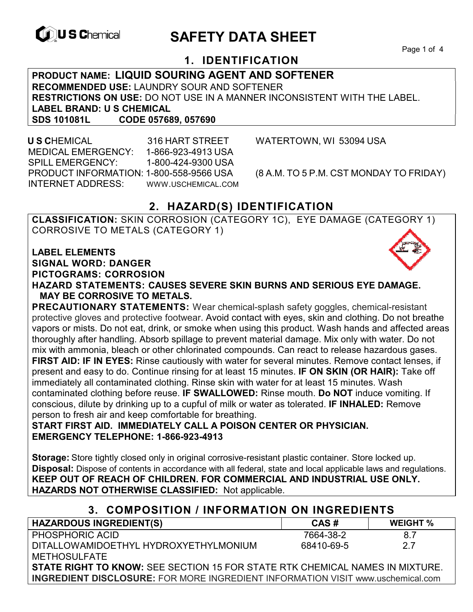

# **EXAMPLE THE SAFETY DATA SHEET**

Page 1 of 4

# **1. IDENTIFICATION**

**PRODUCT NAME: LIQUID SOURING AGENT AND SOFTENER RECOMMENDED USE:** LAUNDRY SOUR AND SOFTENER **RESTRICTIONS ON USE:** DO NOT USE IN A MANNER INCONSISTENT WITH THE LABEL. **LABEL BRAND: U S CHEMICAL SDS 101081L CODE 057689, 057690** 

 **U S C**HEMICAL 316 HART STREET WATERTOWN, WI 53094 USA MEDICAL EMERGENCY: 1-866-923-4913 USA SPILL EMERGENCY: 1-800-424-9300 USA PRODUCT INFORMATION: 1-800-558-9566 USA (8 A.M. TO 5 P.M. CST MONDAY TO FRIDAY) INTERNET ADDRESS: WWW.USCHEMICAL.COM

# **2. HAZARD(S) IDENTIFICATION**

**CLASSIFICATION:** SKIN CORROSION (CATEGORY 1C), EYE DAMAGE (CATEGORY 1) CORROSIVE TO METALS (CATEGORY 1)

**LABEL ELEMENTS SIGNAL WORD: DANGER PICTOGRAMS: CORROSION**

**HAZARD STATEMENTS: CAUSES SEVERE SKIN BURNS AND SERIOUS EYE DAMAGE. MAY BE CORROSIVE TO METALS.** 

**PRECAUTIONARY STATEMENTS:** Wear chemical-splash safety goggles, chemical-resistant protective gloves and protective footwear. Avoid contact with eyes, skin and clothing. Do not breathe vapors or mists. Do not eat, drink, or smoke when using this product. Wash hands and affected areas thoroughly after handling. Absorb spillage to prevent material damage. Mix only with water. Do not mix with ammonia, bleach or other chlorinated compounds. Can react to release hazardous gases. **FIRST AID: IF IN EYES:** Rinse cautiously with water for several minutes. Remove contact lenses, if present and easy to do. Continue rinsing for at least 15 minutes. **IF ON SKIN (OR HAIR):** Take off immediately all contaminated clothing. Rinse skin with water for at least 15 minutes. Wash contaminated clothing before reuse. **IF SWALLOWED:** Rinse mouth. **Do NOT** induce vomiting. If conscious, dilute by drinking up to a cupful of milk or water as tolerated. **IF INHALED:** Remove person to fresh air and keep comfortable for breathing.

**START FIRST AID. IMMEDIATELY CALL A POISON CENTER OR PHYSICIAN. EMERGENCY TELEPHONE: 1-866-923-4913** 

**Storage:** Store tightly closed only in original corrosive-resistant plastic container. Store locked up. **Disposal:** Dispose of contents in accordance with all federal, state and local applicable laws and regulations. **KEEP OUT OF REACH OF CHILDREN. FOR COMMERCIAL AND INDUSTRIAL USE ONLY. HAZARDS NOT OTHERWISE CLASSIFIED:** Not applicable.

## **3. COMPOSITION / INFORMATION ON INGREDIENTS**

| <b>HAZARDOUS INGREDIENT(S)</b>                                                         | CAS#       | <b>WEIGHT</b> % |  |
|----------------------------------------------------------------------------------------|------------|-----------------|--|
| PHOSPHORIC ACID                                                                        | 7664-38-2  | 8.7             |  |
| DITALLOWAMIDOETHYL HYDROXYETHYLMONIUM                                                  | 68410-69-5 | 27              |  |
| <b>METHOSULFATE</b>                                                                    |            |                 |  |
| <b>STATE RIGHT TO KNOW:</b> SEE SECTION 15 FOR STATE RTK CHEMICAL NAMES IN MIXTURE.    |            |                 |  |
| <b>INGREDIENT DISCLOSURE:</b> FOR MORE INGREDIENT INFORMATION VISIT www.uschemical.com |            |                 |  |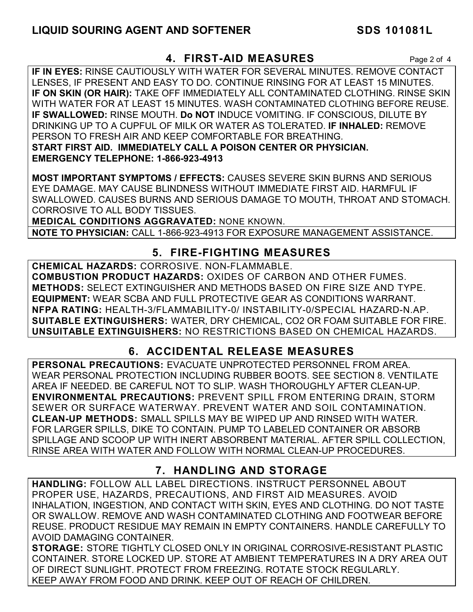## **4. FIRST-AID MEASURES** Page 2 of 4

**IF IN EYES:** RINSE CAUTIOUSLY WITH WATER FOR SEVERAL MINUTES. REMOVE CONTACT LENSES, IF PRESENT AND EASY TO DO. CONTINUE RINSING FOR AT LEAST 15 MINUTES. **IF ON SKIN (OR HAIR):** TAKE OFF IMMEDIATELY ALL CONTAMINATED CLOTHING. RINSE SKIN WITH WATER FOR AT LEAST 15 MINUTES. WASH CONTAMINATED CLOTHING BEFORE REUSE. **IF SWALLOWED:** RINSE MOUTH. **Do NOT** INDUCE VOMITING. IF CONSCIOUS, DILUTE BY DRINKING UP TO A CUPFUL OF MILK OR WATER AS TOLERATED. **IF INHALED:** REMOVE PERSON TO FRESH AIR AND KEEP COMFORTABLE FOR BREATHING. **START FIRST AID. IMMEDIATELY CALL A POISON CENTER OR PHYSICIAN. EMERGENCY TELEPHONE: 1-866-923-4913**

**MOST IMPORTANT SYMPTOMS / EFFECTS:** CAUSES SEVERE SKIN BURNS AND SERIOUS EYE DAMAGE. MAY CAUSE BLINDNESS WITHOUT IMMEDIATE FIRST AID. HARMFUL IF SWALLOWED. CAUSES BURNS AND SERIOUS DAMAGE TO MOUTH, THROAT AND STOMACH. CORROSIVE TO ALL BODY TISSUES.

**MEDICAL CONDITIONS AGGRAVATED:** NONE KNOWN.

**NOTE TO PHYSICIAN:** CALL 1-866-923-4913 FOR EXPOSURE MANAGEMENT ASSISTANCE.

# **5. FIRE-FIGHTING MEASURES**

**CHEMICAL HAZARDS:** CORROSIVE. NON-FLAMMABLE. **COMBUSTION PRODUCT HAZARDS:** OXIDES OF CARBON AND OTHER FUMES. **METHODS:** SELECT EXTINGUISHER AND METHODS BASED ON FIRE SIZE AND TYPE. **EQUIPMENT:** WEAR SCBA AND FULL PROTECTIVE GEAR AS CONDITIONS WARRANT. **NFPA RATING:** HEALTH-3/FLAMMABILITY-0/ INSTABILITY-0/SPECIAL HAZARD-N.AP. **SUITABLE EXTINGUISHERS:** WATER, DRY CHEMICAL, CO2 OR FOAM SUITABLE FOR FIRE. **UNSUITABLE EXTINGUISHERS:** NO RESTRICTIONS BASED ON CHEMICAL HAZARDS.

# **6. ACCIDENTAL RELEASE MEASURES**

**PERSONAL PRECAUTIONS:** EVACUATE UNPROTECTED PERSONNEL FROM AREA. WEAR PERSONAL PROTECTION INCLUDING RUBBER BOOTS. SEE SECTION 8. VENTILATE AREA IF NEEDED. BE CAREFUL NOT TO SLIP. WASH THOROUGHLY AFTER CLEAN-UP. **ENVIRONMENTAL PRECAUTIONS:** PREVENT SPILL FROM ENTERING DRAIN, STORM SEWER OR SURFACE WATERWAY. PREVENT WATER AND SOIL CONTAMINATION. **CLEAN-UP METHODS:** SMALL SPILLS MAY BE WIPED UP AND RINSED WITH WATER. FOR LARGER SPILLS, DIKE TO CONTAIN. PUMP TO LABELED CONTAINER OR ABSORB SPILLAGE AND SCOOP UP WITH INERT ABSORBENT MATERIAL. AFTER SPILL COLLECTION, RINSE AREA WITH WATER AND FOLLOW WITH NORMAL CLEAN-UP PROCEDURES.

# **7. HANDLING AND STORAGE**

**HANDLING:** FOLLOW ALL LABEL DIRECTIONS. INSTRUCT PERSONNEL ABOUT PROPER USE, HAZARDS, PRECAUTIONS, AND FIRST AID MEASURES. AVOID INHALATION, INGESTION, AND CONTACT WITH SKIN, EYES AND CLOTHING. DO NOT TASTE OR SWALLOW. REMOVE AND WASH CONTAMINATED CLOTHING AND FOOTWEAR BEFORE REUSE. PRODUCT RESIDUE MAY REMAIN IN EMPTY CONTAINERS. HANDLE CAREFULLY TO AVOID DAMAGING CONTAINER.

**STORAGE:** STORE TIGHTLY CLOSED ONLY IN ORIGINAL CORROSIVE-RESISTANT PLASTIC CONTAINER. STORE LOCKED UP. STORE AT AMBIENT TEMPERATURES IN A DRY AREA OUT OF DIRECT SUNLIGHT. PROTECT FROM FREEZING. ROTATE STOCK REGULARLY. KEEP AWAY FROM FOOD AND DRINK. KEEP OUT OF REACH OF CHILDREN.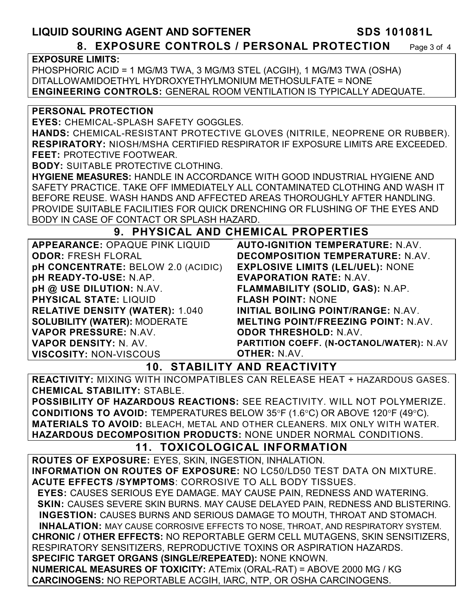## **LIQUID SOURING AGENT AND SOFTENER SDS 101081L 8. EXPOSURE CONTROLS / PERSONAL PROTECTION** Page 3 of 4

#### **EXPOSURE LIMITS:**

PHOSPHORIC ACID = 1 MG/M3 TWA, 3 MG/M3 STEL (ACGIH), 1 MG/M3 TWA (OSHA) DITALLOWAMIDOETHYL HYDROXYETHYLMONIUM METHOSULFATE = NONE **ENGINEERING CONTROLS:** GENERAL ROOM VENTILATION IS TYPICALLY ADEQUATE.

#### **PERSONAL PROTECTION**

**EYES:** CHEMICAL-SPLASH SAFETY GOGGLES.

**HANDS:** CHEMICAL-RESISTANT PROTECTIVE GLOVES (NITRILE, NEOPRENE OR RUBBER). **RESPIRATORY:** NIOSH/MSHA CERTIFIED RESPIRATOR IF EXPOSURE LIMITS ARE EXCEEDED. **FEET:** PROTECTIVE FOOTWEAR.

**BODY:** SUITABLE PROTECTIVE CLOTHING.

**HYGIENE MEASURES:** HANDLE IN ACCORDANCE WITH GOOD INDUSTRIAL HYGIENE AND SAFETY PRACTICE. TAKE OFF IMMEDIATELY ALL CONTAMINATED CLOTHING AND WASH IT BEFORE REUSE. WASH HANDS AND AFFECTED AREAS THOROUGHLY AFTER HANDLING. PROVIDE SUITABLE FACILITIES FOR QUICK DRENCHING OR FLUSHING OF THE EYES AND BODY IN CASE OF CONTACT OR SPLASH HAZARD.

### **9. PHYSICAL AND CHEMICAL PROPERTIES**

| <b>APPEARANCE: OPAQUE PINK LIQUID</b>     | <b>AUTO-IGNITION TEMPERATURE: N.AV.</b>    |
|-------------------------------------------|--------------------------------------------|
| <b>ODOR: FRESH FLORAL</b>                 | <b>DECOMPOSITION TEMPERATURE: N.AV.</b>    |
| <b>pH CONCENTRATE: BELOW 2.0 (ACIDIC)</b> | <b>EXPLOSIVE LIMITS (LEL/UEL): NONE</b>    |
| pH READY-TO-USE: N.AP.                    | <b>EVAPORATION RATE: N.AV.</b>             |
| pH @ USE DILUTION: N.AV.                  | FLAMMABILITY (SOLID, GAS): N.AP.           |
| <b>PHYSICAL STATE: LIQUID</b>             | <b>FLASH POINT: NONE</b>                   |
| <b>RELATIVE DENSITY (WATER): 1.040</b>    | INITIAL BOILING POINT/RANGE: N.AV.         |
| <b>SOLUBILITY (WATER): MODERATE</b>       | <b>MELTING POINT/FREEZING POINT: N.AV.</b> |
| VAPOR PRESSURE: N.AV.                     | <b>ODOR THRESHOLD: N.AV.</b>               |
| <b>VAPOR DENSITY: N. AV.</b>              | PARTITION COEFF. (N-OCTANOL/WATER): N.AV   |
| <b>VISCOSITY: NON-VISCOUS</b>             | <b>OTHER: N.AV.</b>                        |

## **10. STABILITY AND REACTIVITY**

**REACTIVITY:** MIXING WITH INCOMPATIBLES CAN RELEASE HEAT + HAZARDOUS GASES. **CHEMICAL STABILITY:** STABLE.

**POSSIBILITY OF HAZARDOUS REACTIONS:** SEE REACTIVITY. WILL NOT POLYMERIZE. **CONDITIONS TO AVOID:** TEMPERATURES BELOW 35°F (1.6°C) OR ABOVE 120°F (49°C). **MATERIALS TO AVOID:** BLEACH, METAL AND OTHER CLEANERS. MIX ONLY WITH WATER. **HAZARDOUS DECOMPOSITION PRODUCTS:** NONE UNDER NORMAL CONDITIONS.

# **11. TOXICOLOGICAL INFORMATION**

**ROUTES OF EXPOSURE:** EYES, SKIN, INGESTION, INHALATION. **INFORMATION ON ROUTES OF EXPOSURE:** NO LC50/LD50 TEST DATA ON MIXTURE. **ACUTE EFFECTS /SYMPTOMS**: CORROSIVE TO ALL BODY TISSUES.  **EYES:** CAUSES SERIOUS EYE DAMAGE. MAY CAUSE PAIN, REDNESS AND WATERING. **SKIN: CAUSES SEVERE SKIN BURNS. MAY CAUSE DELAYED PAIN, REDNESS AND BLISTERING. INGESTION:** CAUSES BURNS AND SERIOUS DAMAGE TO MOUTH, THROAT AND STOMACH. **INHALATION:** MAY CAUSE CORROSIVE EFFECTS TO NOSE, THROAT, AND RESPIRATORY SYSTEM. **CHRONIC / OTHER EFFECTS:** NO REPORTABLE GERM CELL MUTAGENS, SKIN SENSITIZERS, RESPIRATORY SENSITIZERS, REPRODUCTIVE TOXINS OR ASPIRATION HAZARDS. **SPECIFIC TARGET ORGANS (SINGLE/REPEATED):** NONE KNOWN. **NUMERICAL MEASURES OF TOXICITY:** ATEmix (ORAL-RAT) = ABOVE 2000 MG / KG **CARCINOGENS:** NO REPORTABLE ACGIH, IARC, NTP, OR OSHA CARCINOGENS.